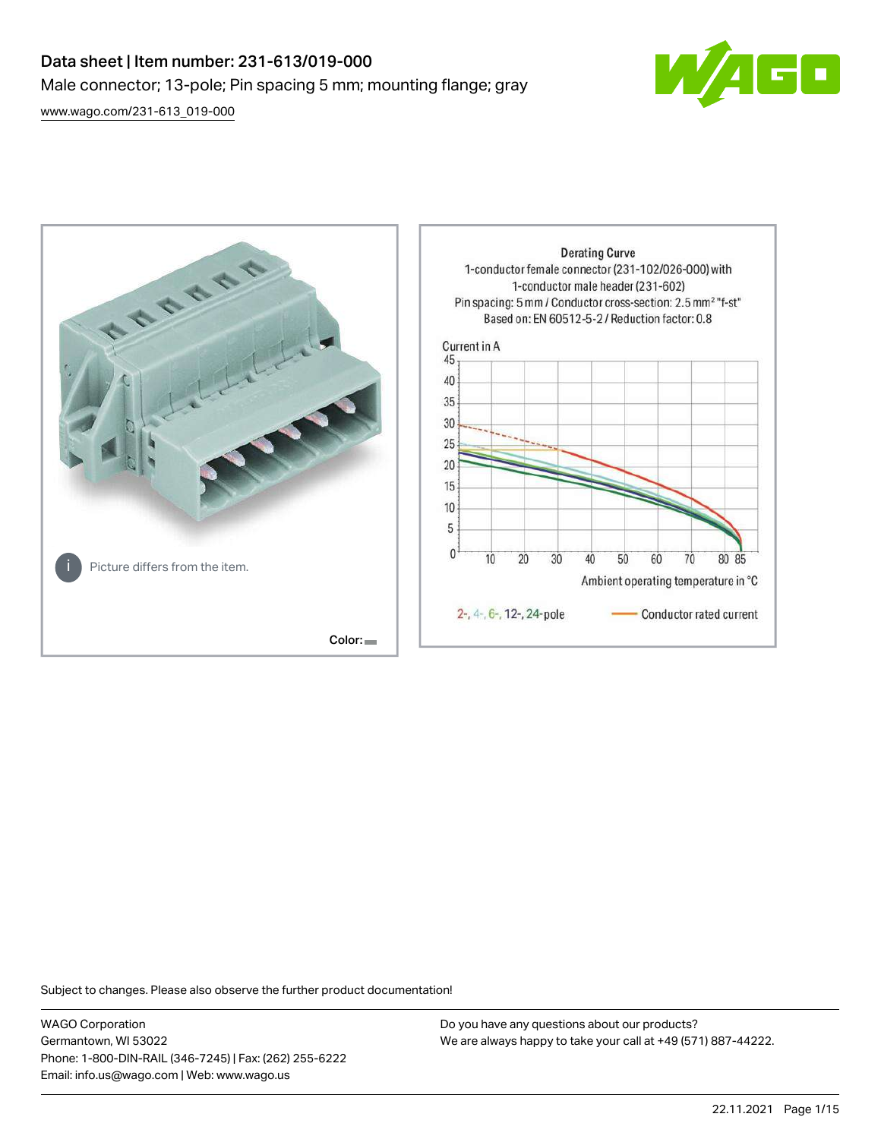# Data sheet | Item number: 231-613/019-000 Male connector; 13-pole; Pin spacing 5 mm; mounting flange; gray

[www.wago.com/231-613\\_019-000](http://www.wago.com/231-613_019-000)





Subject to changes. Please also observe the further product documentation!

WAGO Corporation Germantown, WI 53022 Phone: 1-800-DIN-RAIL (346-7245) | Fax: (262) 255-6222 Email: info.us@wago.com | Web: www.wago.us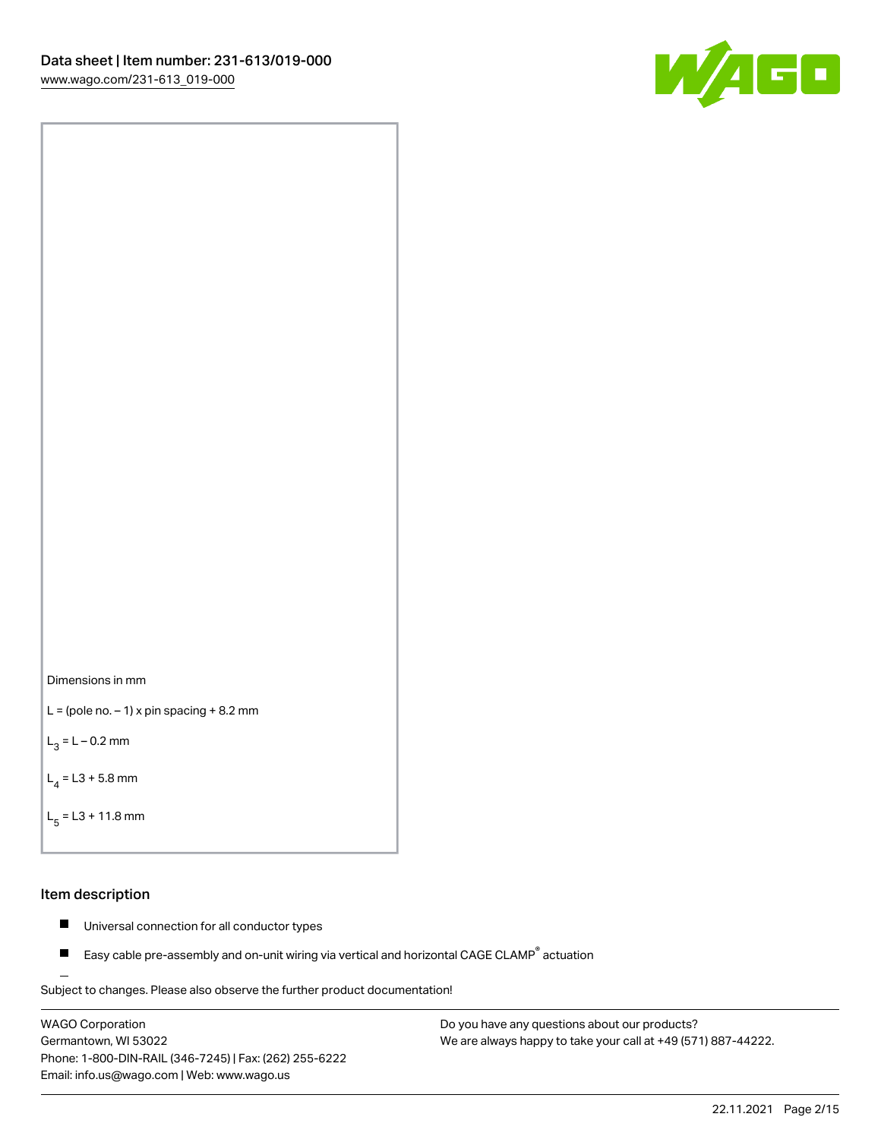



```
L = (pole no. -1) x pin spacing +8.2 mm
```
 $L_3 = L - 0.2$  mm

```
L_4 = L3 + 5.8 mm
```

```
L_{\rm g} = L3 + 11.8 mm
```
#### Item description

- $\blacksquare$ Universal connection for all conductor types
- Easy cable pre-assembly and on-unit wiring via vertical and horizontal CAGE CLAMP<sup>®</sup> actuation  $\blacksquare$

Subject to changes. Please also observe the further product documentation! For wire-to-wire and board-to-wire connections

WAGO Corporation Germantown, WI 53022 Phone: 1-800-DIN-RAIL (346-7245) | Fax: (262) 255-6222 Email: info.us@wago.com | Web: www.wago.us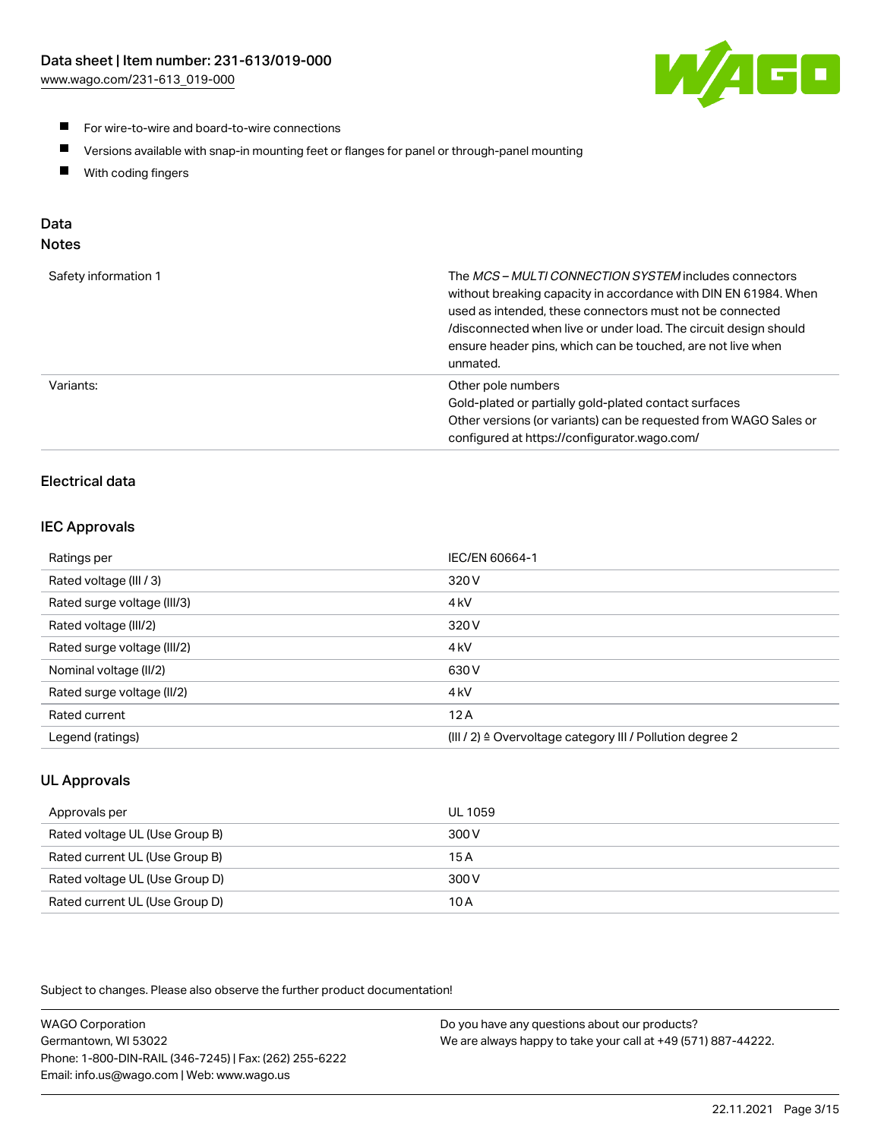

- For wire-to-wire and board-to-wire connections
- $\blacksquare$ Versions available with snap-in mounting feet or flanges for panel or through-panel mounting
- $\blacksquare$ With coding fingers

## Data

## Notes

| Safety information 1 | The MCS-MULTI CONNECTION SYSTEM includes connectors<br>without breaking capacity in accordance with DIN EN 61984. When<br>used as intended, these connectors must not be connected<br>/disconnected when live or under load. The circuit design should<br>ensure header pins, which can be touched, are not live when<br>unmated. |
|----------------------|-----------------------------------------------------------------------------------------------------------------------------------------------------------------------------------------------------------------------------------------------------------------------------------------------------------------------------------|
| Variants:            | Other pole numbers<br>Gold-plated or partially gold-plated contact surfaces<br>Other versions (or variants) can be requested from WAGO Sales or<br>configured at https://configurator.wago.com/                                                                                                                                   |

## Electrical data

## IEC Approvals

| Ratings per                 | IEC/EN 60664-1                                                        |
|-----------------------------|-----------------------------------------------------------------------|
| Rated voltage (III / 3)     | 320 V                                                                 |
| Rated surge voltage (III/3) | 4 <sub>k</sub> V                                                      |
| Rated voltage (III/2)       | 320 V                                                                 |
| Rated surge voltage (III/2) | 4 <sub>k</sub> V                                                      |
| Nominal voltage (II/2)      | 630 V                                                                 |
| Rated surge voltage (II/2)  | 4 <sub>k</sub> V                                                      |
| Rated current               | 12A                                                                   |
| Legend (ratings)            | $(III / 2)$ $\triangle$ Overvoltage category III / Pollution degree 2 |

## UL Approvals

| Approvals per                  | UL 1059 |
|--------------------------------|---------|
| Rated voltage UL (Use Group B) | 300 V   |
| Rated current UL (Use Group B) | 15 A    |
| Rated voltage UL (Use Group D) | 300 V   |
| Rated current UL (Use Group D) | 10 A    |

Subject to changes. Please also observe the further product documentation!

| <b>WAGO Corporation</b>                                | Do you have any questions about our products?                 |
|--------------------------------------------------------|---------------------------------------------------------------|
| Germantown, WI 53022                                   | We are always happy to take your call at +49 (571) 887-44222. |
| Phone: 1-800-DIN-RAIL (346-7245)   Fax: (262) 255-6222 |                                                               |
| Email: info.us@wago.com   Web: www.wago.us             |                                                               |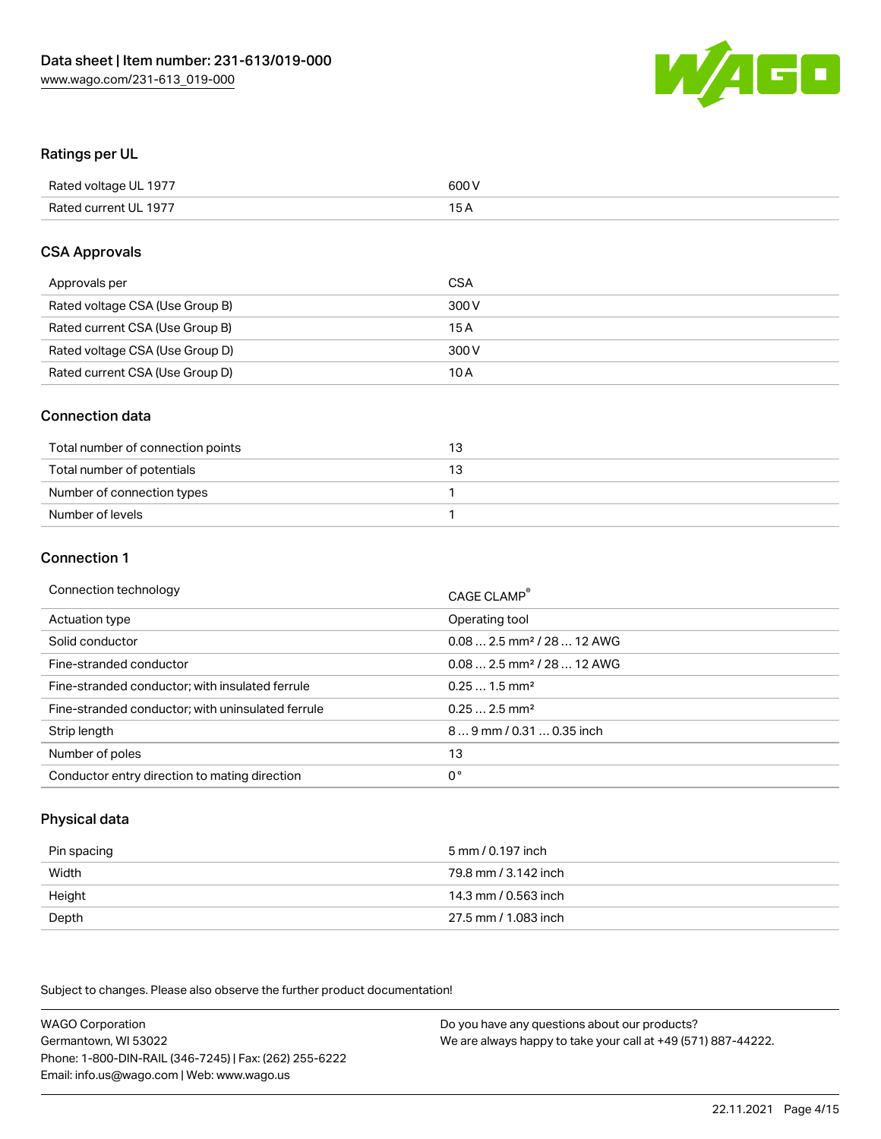

#### Ratings per UL

| Rated voltage UL 1977 | 600 V |
|-----------------------|-------|
| Rated current UL 1977 |       |

#### CSA Approvals

| Approvals per                   | CSA   |
|---------------------------------|-------|
| Rated voltage CSA (Use Group B) | 300 V |
| Rated current CSA (Use Group B) | 15 A  |
| Rated voltage CSA (Use Group D) | 300 V |
| Rated current CSA (Use Group D) | 10 A  |

#### Connection data

| Total number of connection points | З |
|-----------------------------------|---|
| Total number of potentials        | з |
| Number of connection types        |   |
| Number of levels                  |   |

#### Connection 1

| Connection technology                             | CAGE CLAMP <sup>®</sup>                 |
|---------------------------------------------------|-----------------------------------------|
| Actuation type                                    | Operating tool                          |
| Solid conductor                                   | $0.082.5$ mm <sup>2</sup> / 28  12 AWG  |
| Fine-stranded conductor                           | $0.08$ 2.5 mm <sup>2</sup> / 28  12 AWG |
| Fine-stranded conductor; with insulated ferrule   | $0.251.5$ mm <sup>2</sup>               |
| Fine-stranded conductor; with uninsulated ferrule | $0.252.5$ mm <sup>2</sup>               |
| Strip length                                      | 89 mm / 0.31  0.35 inch                 |
| Number of poles                                   | 13                                      |
| Conductor entry direction to mating direction     | 0°                                      |

## Physical data

| Pin spacing | 5 mm / 0.197 inch    |
|-------------|----------------------|
| Width       | 79.8 mm / 3.142 inch |
| Height      | 14.3 mm / 0.563 inch |
| Depth       | 27.5 mm / 1.083 inch |

Subject to changes. Please also observe the further product documentation!

WAGO Corporation Germantown, WI 53022 Phone: 1-800-DIN-RAIL (346-7245) | Fax: (262) 255-6222 Email: info.us@wago.com | Web: www.wago.us Do you have any questions about our products? We are always happy to take your call at +49 (571) 887-44222.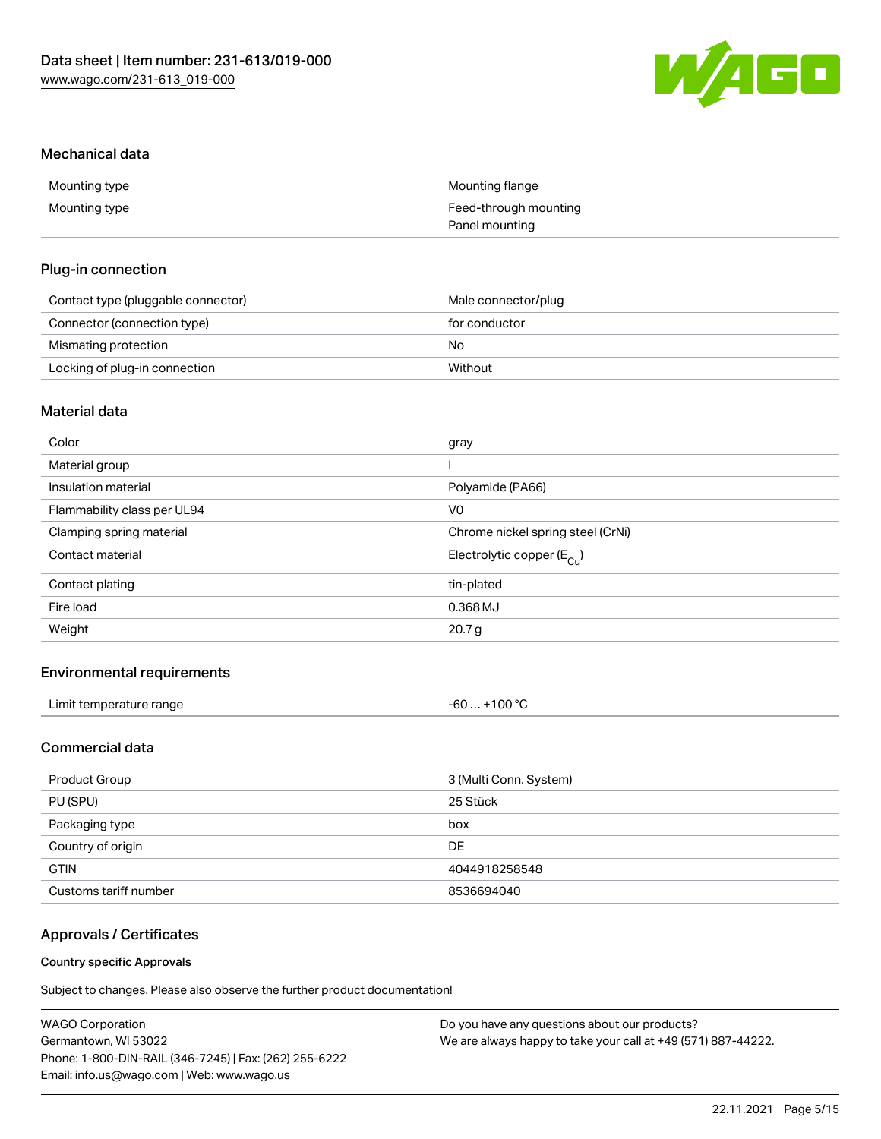

#### Mechanical data

| Mounting type | Mounting flange       |
|---------------|-----------------------|
| Mounting type | Feed-through mounting |
|               | Panel mounting        |

#### Plug-in connection

| Contact type (pluggable connector) | Male connector/plug |
|------------------------------------|---------------------|
| Connector (connection type)        | for conductor       |
| Mismating protection               | No                  |
| Locking of plug-in connection      | Without             |

## Material data

| Color                       | gray                                  |
|-----------------------------|---------------------------------------|
| Material group              |                                       |
| Insulation material         | Polyamide (PA66)                      |
| Flammability class per UL94 | V0                                    |
| Clamping spring material    | Chrome nickel spring steel (CrNi)     |
| Contact material            | Electrolytic copper $(E_{\text{Cl}})$ |
| Contact plating             | tin-plated                            |
| Fire load                   | 0.368 MJ                              |
| Weight                      | 20.7 <sub>g</sub>                     |
|                             |                                       |

## Environmental requirements

| Limit temperature range<br>. | +100 $\degree$ C<br>-60 |  |
|------------------------------|-------------------------|--|
|------------------------------|-------------------------|--|

## Commercial data

| Product Group         | 3 (Multi Conn. System) |
|-----------------------|------------------------|
| PU (SPU)              | 25 Stück               |
| Packaging type        | box                    |
| Country of origin     | DE.                    |
| <b>GTIN</b>           | 4044918258548          |
| Customs tariff number | 8536694040             |

## Approvals / Certificates

#### Country specific Approvals

Subject to changes. Please also observe the further product documentation!

| <b>WAGO Corporation</b>                                | Do you have any questions about our products?                 |
|--------------------------------------------------------|---------------------------------------------------------------|
| Germantown, WI 53022                                   | We are always happy to take your call at +49 (571) 887-44222. |
| Phone: 1-800-DIN-RAIL (346-7245)   Fax: (262) 255-6222 |                                                               |
| Email: info.us@wago.com   Web: www.wago.us             |                                                               |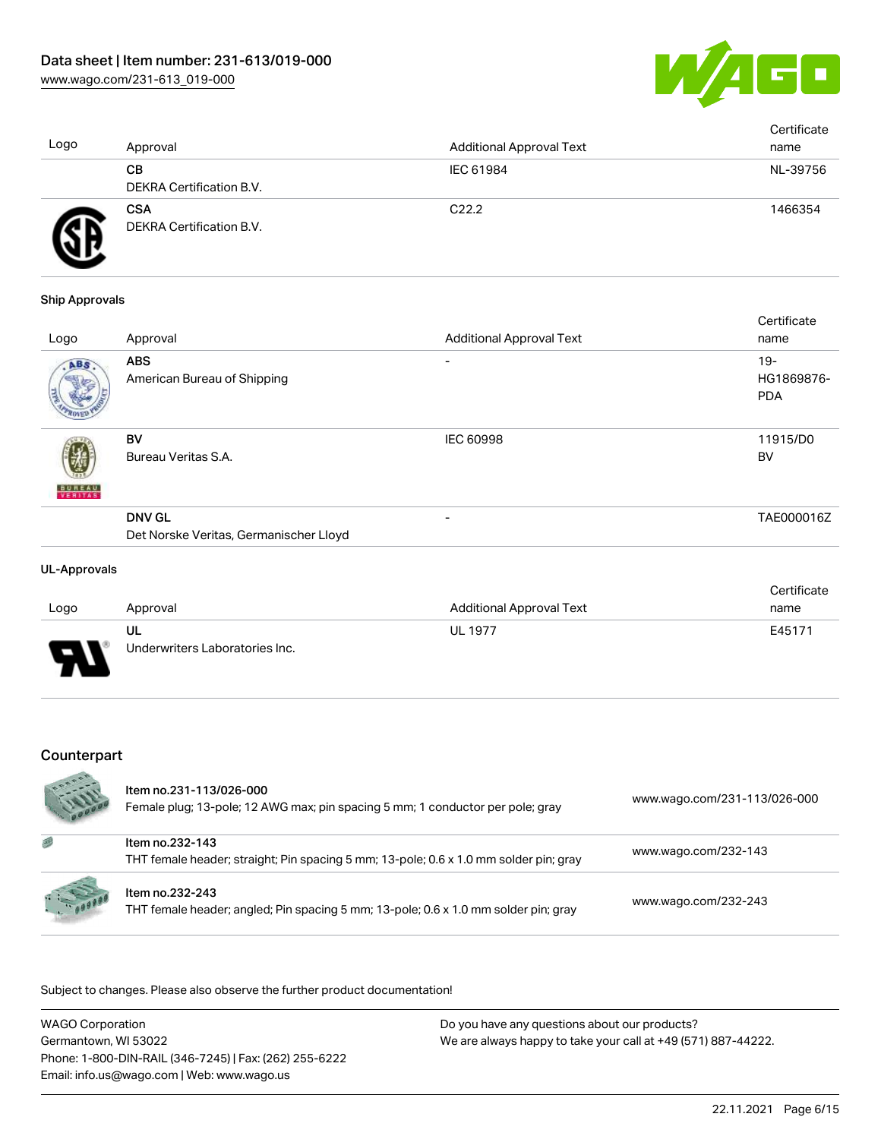

| Logo | Approval                               | <b>Additional Approval Text</b> | Certificate<br>name |
|------|----------------------------------------|---------------------------------|---------------------|
|      | CВ<br>DEKRA Certification B.V.         | IEC 61984                       | NL-39756            |
| T    | <b>CSA</b><br>DEKRA Certification B.V. | C <sub>22.2</sub>               | 1466354             |

#### Ship Approvals

| Logo          | Approval                                                | <b>Additional Approval Text</b> | Certificate<br>name                |
|---------------|---------------------------------------------------------|---------------------------------|------------------------------------|
| ABS           | <b>ABS</b><br>American Bureau of Shipping               | $\overline{\phantom{0}}$        | $19 -$<br>HG1869876-<br><b>PDA</b> |
| <b>BUNEAU</b> | BV<br>Bureau Veritas S.A.                               | <b>IEC 60998</b>                | 11915/D0<br><b>BV</b>              |
|               | <b>DNV GL</b><br>Det Norske Veritas, Germanischer Lloyd | -                               | TAE000016Z                         |
|               |                                                         |                                 |                                    |

#### UL-Approvals

|      |                                |                          | Certificate |
|------|--------------------------------|--------------------------|-------------|
| Logo | Approval                       | Additional Approval Text | name        |
|      | UL                             | <b>UL 1977</b>           | E45171      |
| J    | Underwriters Laboratories Inc. |                          |             |

## Counterpart

|          | Item no.231-113/026-000<br>Female plug; 13-pole; 12 AWG max; pin spacing 5 mm; 1 conductor per pole; gray | www.wago.com/231-113/026-000 |
|----------|-----------------------------------------------------------------------------------------------------------|------------------------------|
| 感        | Item no.232-143<br>THT female header; straight; Pin spacing 5 mm; 13-pole; 0.6 x 1.0 mm solder pin; gray  | www.wago.com/232-143         |
| 1.100000 | Item no.232-243<br>THT female header; angled; Pin spacing 5 mm; 13-pole; 0.6 x 1.0 mm solder pin; gray    | www.wago.com/232-243         |

.<br>Subject to changes. Please also observe the further product documentation!

| <b>WAGO Corporation</b>                                | Do you have any questions about our products?                 |
|--------------------------------------------------------|---------------------------------------------------------------|
| Germantown, WI 53022                                   | We are always happy to take your call at +49 (571) 887-44222. |
| Phone: 1-800-DIN-RAIL (346-7245)   Fax: (262) 255-6222 |                                                               |
| Email: info.us@wago.com   Web: www.wago.us             |                                                               |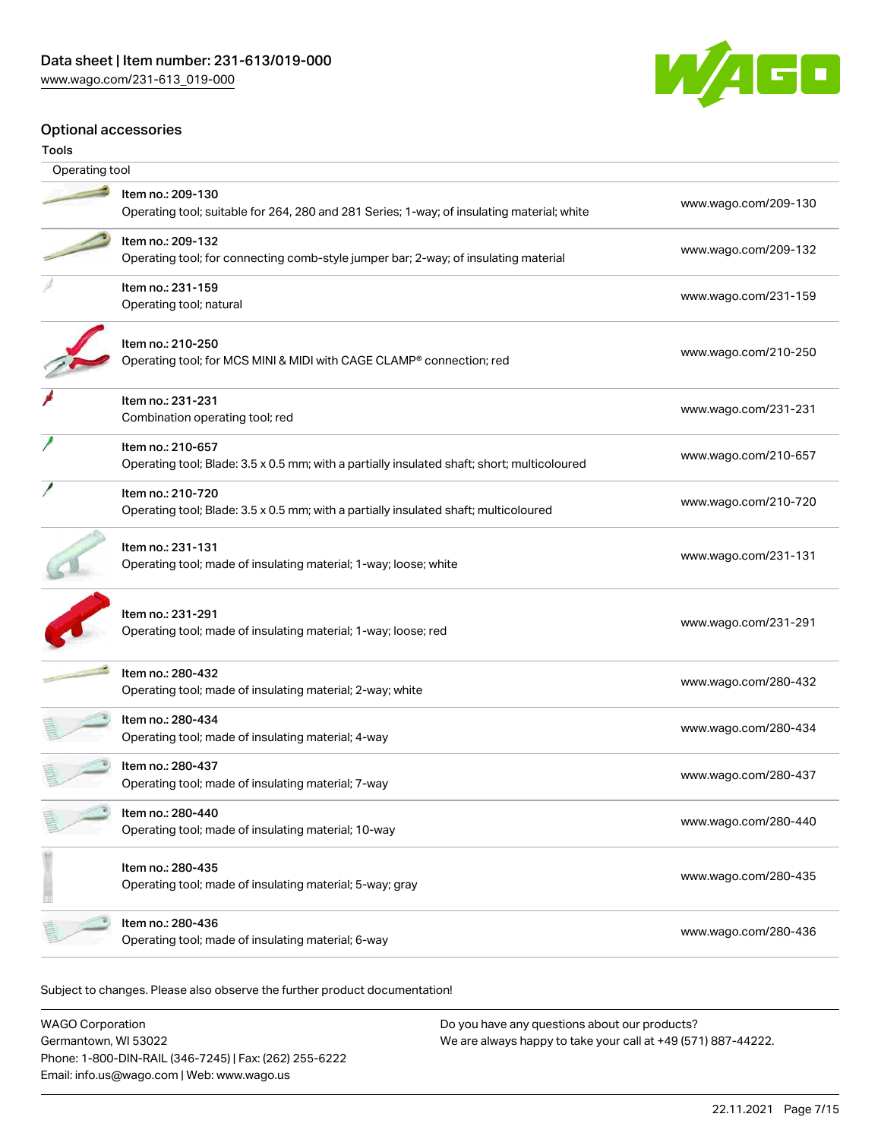

## Optional accessories

| Operating tool |                                                                                                                  |                      |
|----------------|------------------------------------------------------------------------------------------------------------------|----------------------|
|                |                                                                                                                  |                      |
|                | Item no.: 209-130<br>Operating tool; suitable for 264, 280 and 281 Series; 1-way; of insulating material; white  | www.wago.com/209-130 |
|                | Item no.: 209-132<br>Operating tool; for connecting comb-style jumper bar; 2-way; of insulating material         | www.wago.com/209-132 |
|                | Item no.: 231-159<br>Operating tool; natural                                                                     | www.wago.com/231-159 |
|                | Item no.: 210-250<br>Operating tool; for MCS MINI & MIDI with CAGE CLAMP® connection; red                        | www.wago.com/210-250 |
|                | Item no.: 231-231<br>Combination operating tool; red                                                             | www.wago.com/231-231 |
|                | Item no.: 210-657<br>Operating tool; Blade: 3.5 x 0.5 mm; with a partially insulated shaft; short; multicoloured | www.wago.com/210-657 |
|                | Item no.: 210-720<br>Operating tool; Blade: 3.5 x 0.5 mm; with a partially insulated shaft; multicoloured        | www.wago.com/210-720 |
|                | Item no.: 231-131<br>Operating tool; made of insulating material; 1-way; loose; white                            | www.wago.com/231-131 |
|                | Item no.: 231-291<br>Operating tool; made of insulating material; 1-way; loose; red                              | www.wago.com/231-291 |
|                | Item no.: 280-432<br>Operating tool; made of insulating material; 2-way; white                                   | www.wago.com/280-432 |
|                | Item no.: 280-434<br>Operating tool; made of insulating material; 4-way                                          | www.wago.com/280-434 |
|                | Item no.: 280-437<br>Operating tool; made of insulating material; 7-way                                          | www.wago.com/280-437 |
|                | Item no.: 280-440<br>Operating tool; made of insulating material; 10-way                                         | www.wago.com/280-440 |
|                | Item no.: 280-435<br>Operating tool; made of insulating material; 5-way; gray                                    | www.wago.com/280-435 |
|                | Item no.: 280-436<br>Operating tool; made of insulating material; 6-way                                          | www.wago.com/280-436 |
|                |                                                                                                                  |                      |

Subject to changes. Please also observe the further product documentation!

| <b>WAGO Corporation</b>                                | Do you have any questions about our products?                 |
|--------------------------------------------------------|---------------------------------------------------------------|
| Germantown, WI 53022                                   | We are always happy to take your call at +49 (571) 887-44222. |
| Phone: 1-800-DIN-RAIL (346-7245)   Fax: (262) 255-6222 |                                                               |
| Email: info.us@wago.com   Web: www.wago.us             |                                                               |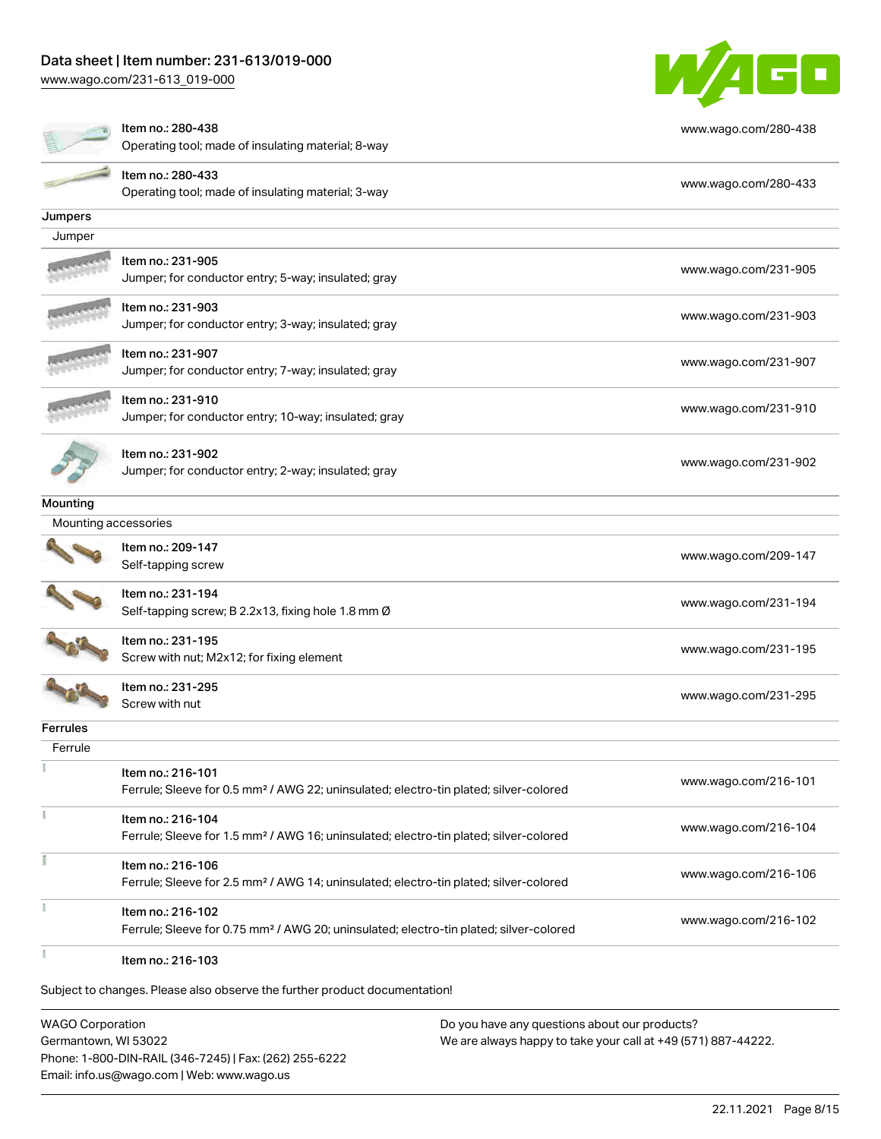[www.wago.com/231-613\\_019-000](http://www.wago.com/231-613_019-000)



|                 | Item no.: 280-438                                                                                  | www.wago.com/280-438                         |
|-----------------|----------------------------------------------------------------------------------------------------|----------------------------------------------|
|                 | Operating tool; made of insulating material; 8-way                                                 |                                              |
|                 | Item no.: 280-433                                                                                  | www.wago.com/280-433                         |
|                 | Operating tool; made of insulating material; 3-way                                                 |                                              |
| Jumpers         |                                                                                                    |                                              |
| Jumper          |                                                                                                    |                                              |
|                 | Item no.: 231-905                                                                                  | www.wago.com/231-905                         |
|                 | Jumper; for conductor entry; 5-way; insulated; gray                                                |                                              |
|                 | Item no.: 231-903                                                                                  | www.wago.com/231-903                         |
|                 | Jumper; for conductor entry; 3-way; insulated; gray                                                |                                              |
|                 | Item no.: 231-907                                                                                  |                                              |
|                 | Jumper; for conductor entry; 7-way; insulated; gray                                                | www.wago.com/231-907                         |
|                 | Item no.: 231-910                                                                                  |                                              |
|                 | Jumper; for conductor entry; 10-way; insulated; gray                                               | www.wago.com/231-910                         |
|                 |                                                                                                    |                                              |
|                 | Item no.: 231-902                                                                                  | www.wago.com/231-902                         |
|                 | Jumper; for conductor entry; 2-way; insulated; gray                                                |                                              |
| Mounting        |                                                                                                    |                                              |
|                 | Mounting accessories                                                                               |                                              |
|                 | Item no.: 209-147                                                                                  | www.wago.com/209-147                         |
|                 | Self-tapping screw                                                                                 |                                              |
|                 | Item no.: 231-194                                                                                  |                                              |
|                 | Self-tapping screw; B 2.2x13, fixing hole 1.8 mm Ø                                                 | www.wago.com/231-194                         |
|                 | Item no.: 231-195                                                                                  |                                              |
|                 | Screw with nut; M2x12; for fixing element                                                          | www.wago.com/231-195                         |
|                 | Item no.: 231-295                                                                                  |                                              |
|                 | Screw with nut                                                                                     | www.wago.com/231-295                         |
| <b>Ferrules</b> |                                                                                                    |                                              |
| Ferrule         |                                                                                                    |                                              |
|                 | Item no.: 216-101                                                                                  |                                              |
|                 | Ferrule; Sleeve for 0.5 mm <sup>2</sup> / AWG 22; uninsulated; electro-tin plated; silver-colored  | www.wago.com/216-101                         |
|                 | Item no.: 216-104                                                                                  |                                              |
|                 |                                                                                                    | www.wago.com/216-104                         |
|                 | Ferrule; Sleeve for 1.5 mm <sup>2</sup> / AWG 16; uninsulated; electro-tin plated; silver-colored  |                                              |
|                 |                                                                                                    |                                              |
|                 | Item no.: 216-106                                                                                  |                                              |
|                 | Ferrule; Sleeve for 2.5 mm <sup>2</sup> / AWG 14; uninsulated; electro-tin plated; silver-colored  |                                              |
|                 | Item no.: 216-102                                                                                  |                                              |
|                 | Ferrule; Sleeve for 0.75 mm <sup>2</sup> / AWG 20; uninsulated; electro-tin plated; silver-colored | www.wago.com/216-106<br>www.wago.com/216-102 |

WAGO Corporation Germantown, WI 53022 Phone: 1-800-DIN-RAIL (346-7245) | Fax: (262) 255-6222 Email: info.us@wago.com | Web: www.wago.us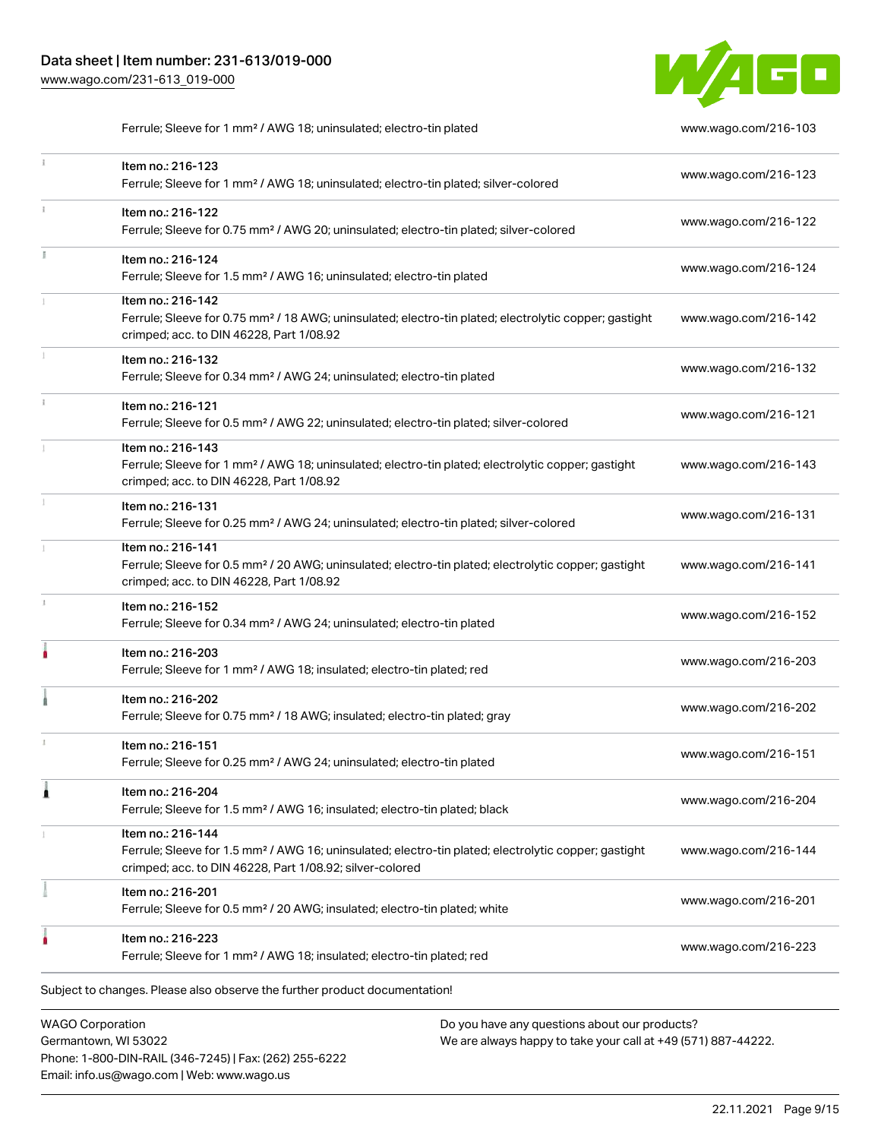Phone: 1-800-DIN-RAIL (346-7245) | Fax: (262) 255-6222

Email: info.us@wago.com | Web: www.wago.us



Ferrule; Sleeve for 1 mm<sup>2</sup> / AWG 18; uninsulated; electro-tin plated [www.wago.com/216-103](http://www.wago.com/216-103)

|   | Item no.: 216-123<br>Ferrule; Sleeve for 1 mm <sup>2</sup> / AWG 18; uninsulated; electro-tin plated; silver-colored                                                                              | www.wago.com/216-123                                                                                           |  |  |
|---|---------------------------------------------------------------------------------------------------------------------------------------------------------------------------------------------------|----------------------------------------------------------------------------------------------------------------|--|--|
|   | Item no.: 216-122<br>Ferrule; Sleeve for 0.75 mm <sup>2</sup> / AWG 20; uninsulated; electro-tin plated; silver-colored                                                                           | www.wago.com/216-122                                                                                           |  |  |
|   | Item no.: 216-124<br>Ferrule; Sleeve for 1.5 mm <sup>2</sup> / AWG 16; uninsulated; electro-tin plated                                                                                            | www.wago.com/216-124                                                                                           |  |  |
|   | Item no.: 216-142<br>Ferrule; Sleeve for 0.75 mm <sup>2</sup> / 18 AWG; uninsulated; electro-tin plated; electrolytic copper; gastight<br>crimped; acc. to DIN 46228, Part 1/08.92                | www.wago.com/216-142                                                                                           |  |  |
|   | Item no.: 216-132<br>Ferrule; Sleeve for 0.34 mm <sup>2</sup> / AWG 24; uninsulated; electro-tin plated                                                                                           | www.wago.com/216-132                                                                                           |  |  |
|   | Item no.: 216-121<br>Ferrule; Sleeve for 0.5 mm <sup>2</sup> / AWG 22; uninsulated; electro-tin plated; silver-colored                                                                            | www.wago.com/216-121                                                                                           |  |  |
|   | Item no.: 216-143<br>Ferrule; Sleeve for 1 mm <sup>2</sup> / AWG 18; uninsulated; electro-tin plated; electrolytic copper; gastight<br>crimped; acc. to DIN 46228, Part 1/08.92                   | www.wago.com/216-143                                                                                           |  |  |
|   | Item no.: 216-131<br>Ferrule; Sleeve for 0.25 mm <sup>2</sup> / AWG 24; uninsulated; electro-tin plated; silver-colored                                                                           | www.wago.com/216-131                                                                                           |  |  |
|   | Item no.: 216-141<br>Ferrule; Sleeve for 0.5 mm <sup>2</sup> / 20 AWG; uninsulated; electro-tin plated; electrolytic copper; gastight<br>crimped; acc. to DIN 46228, Part 1/08.92                 | www.wago.com/216-141                                                                                           |  |  |
|   | Item no.: 216-152<br>Ferrule; Sleeve for 0.34 mm <sup>2</sup> / AWG 24; uninsulated; electro-tin plated                                                                                           | www.wago.com/216-152                                                                                           |  |  |
|   | Item no.: 216-203<br>Ferrule; Sleeve for 1 mm <sup>2</sup> / AWG 18; insulated; electro-tin plated; red                                                                                           | www.wago.com/216-203                                                                                           |  |  |
|   | Item no.: 216-202<br>Ferrule; Sleeve for 0.75 mm <sup>2</sup> / 18 AWG; insulated; electro-tin plated; gray                                                                                       | www.wago.com/216-202                                                                                           |  |  |
|   | Item no.: 216-151<br>Ferrule; Sleeve for 0.25 mm <sup>2</sup> / AWG 24; uninsulated; electro-tin plated                                                                                           | www.wago.com/216-151                                                                                           |  |  |
| 1 | Item no.: 216-204<br>Ferrule; Sleeve for 1.5 mm <sup>2</sup> / AWG 16; insulated; electro-tin plated; black                                                                                       | www.wago.com/216-204                                                                                           |  |  |
|   | Item no.: 216-144<br>Ferrule; Sleeve for 1.5 mm <sup>2</sup> / AWG 16; uninsulated; electro-tin plated; electrolytic copper; gastight<br>crimped; acc. to DIN 46228, Part 1/08.92; silver-colored | www.wago.com/216-144                                                                                           |  |  |
|   | Item no.: 216-201<br>Ferrule; Sleeve for 0.5 mm <sup>2</sup> / 20 AWG; insulated; electro-tin plated; white                                                                                       | www.wago.com/216-201                                                                                           |  |  |
|   | Item no.: 216-223<br>Ferrule; Sleeve for 1 mm <sup>2</sup> / AWG 18; insulated; electro-tin plated; red                                                                                           | www.wago.com/216-223                                                                                           |  |  |
|   | Subject to changes. Please also observe the further product documentation!                                                                                                                        |                                                                                                                |  |  |
|   | <b>WAGO Corporation</b><br>Germantown, WI 53022                                                                                                                                                   | Do you have any questions about our products?<br>We are always happy to take your call at +49 (571) 887-44222. |  |  |

22.11.2021 Page 9/15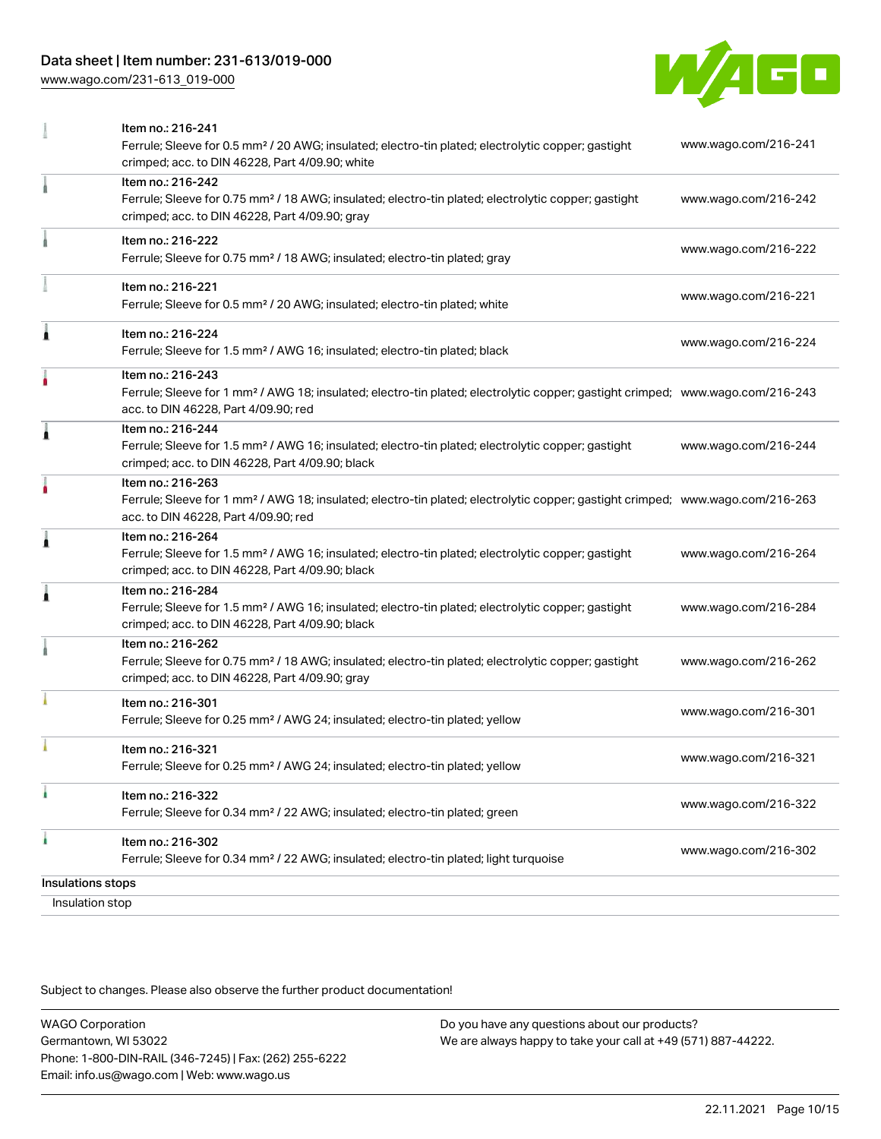## Data sheet | Item number: 231-613/019-000

[www.wago.com/231-613\\_019-000](http://www.wago.com/231-613_019-000)



|                                      | Item no.: 216-241<br>Ferrule; Sleeve for 0.5 mm <sup>2</sup> / 20 AWG; insulated; electro-tin plated; electrolytic copper; gastight<br>crimped; acc. to DIN 46228, Part 4/09.90; white                  | www.wago.com/216-241 |
|--------------------------------------|---------------------------------------------------------------------------------------------------------------------------------------------------------------------------------------------------------|----------------------|
|                                      | Item no.: 216-242<br>Ferrule; Sleeve for 0.75 mm <sup>2</sup> / 18 AWG; insulated; electro-tin plated; electrolytic copper; gastight<br>crimped; acc. to DIN 46228, Part 4/09.90; gray                  | www.wago.com/216-242 |
|                                      | Item no.: 216-222<br>Ferrule; Sleeve for 0.75 mm <sup>2</sup> / 18 AWG; insulated; electro-tin plated; gray                                                                                             | www.wago.com/216-222 |
|                                      | Item no.: 216-221<br>Ferrule; Sleeve for 0.5 mm <sup>2</sup> / 20 AWG; insulated; electro-tin plated; white                                                                                             | www.wago.com/216-221 |
| Â                                    | Item no.: 216-224<br>Ferrule; Sleeve for 1.5 mm <sup>2</sup> / AWG 16; insulated; electro-tin plated; black                                                                                             | www.wago.com/216-224 |
|                                      | Item no.: 216-243<br>Ferrule; Sleeve for 1 mm <sup>2</sup> / AWG 18; insulated; electro-tin plated; electrolytic copper; gastight crimped; www.wago.com/216-243<br>acc. to DIN 46228, Part 4/09.90; red |                      |
| 1                                    | Item no.: 216-244<br>Ferrule; Sleeve for 1.5 mm <sup>2</sup> / AWG 16; insulated; electro-tin plated; electrolytic copper; gastight<br>crimped; acc. to DIN 46228, Part 4/09.90; black                  | www.wago.com/216-244 |
|                                      | Item no.: 216-263<br>Ferrule; Sleeve for 1 mm <sup>2</sup> / AWG 18; insulated; electro-tin plated; electrolytic copper; gastight crimped; www.wago.com/216-263<br>acc. to DIN 46228, Part 4/09.90; red |                      |
| Â                                    | Item no.: 216-264<br>Ferrule; Sleeve for 1.5 mm <sup>2</sup> / AWG 16; insulated; electro-tin plated; electrolytic copper; gastight<br>crimped; acc. to DIN 46228, Part 4/09.90; black                  | www.wago.com/216-264 |
| Â                                    | Item no.: 216-284<br>Ferrule; Sleeve for 1.5 mm <sup>2</sup> / AWG 16; insulated; electro-tin plated; electrolytic copper; gastight<br>crimped; acc. to DIN 46228, Part 4/09.90; black                  | www.wago.com/216-284 |
|                                      | Item no.: 216-262<br>Ferrule; Sleeve for 0.75 mm <sup>2</sup> / 18 AWG; insulated; electro-tin plated; electrolytic copper; gastight<br>crimped; acc. to DIN 46228, Part 4/09.90; gray                  | www.wago.com/216-262 |
|                                      | Item no.: 216-301<br>Ferrule; Sleeve for 0.25 mm <sup>2</sup> / AWG 24; insulated; electro-tin plated; yellow                                                                                           | www.wago.com/216-301 |
|                                      | Item no.: 216-321<br>Ferrule; Sleeve for 0.25 mm <sup>2</sup> / AWG 24; insulated; electro-tin plated; yellow                                                                                           | www.wago.com/216-321 |
|                                      | Item no.: 216-322<br>Ferrule; Sleeve for 0.34 mm <sup>2</sup> / 22 AWG; insulated; electro-tin plated; green                                                                                            | www.wago.com/216-322 |
| ۸                                    | Item no.: 216-302<br>Ferrule; Sleeve for 0.34 mm <sup>2</sup> / 22 AWG; insulated; electro-tin plated; light turquoise                                                                                  | www.wago.com/216-302 |
| Insulations stops<br>Insulation stop |                                                                                                                                                                                                         |                      |

Subject to changes. Please also observe the further product documentation!

WAGO Corporation Germantown, WI 53022 Phone: 1-800-DIN-RAIL (346-7245) | Fax: (262) 255-6222 Email: info.us@wago.com | Web: www.wago.us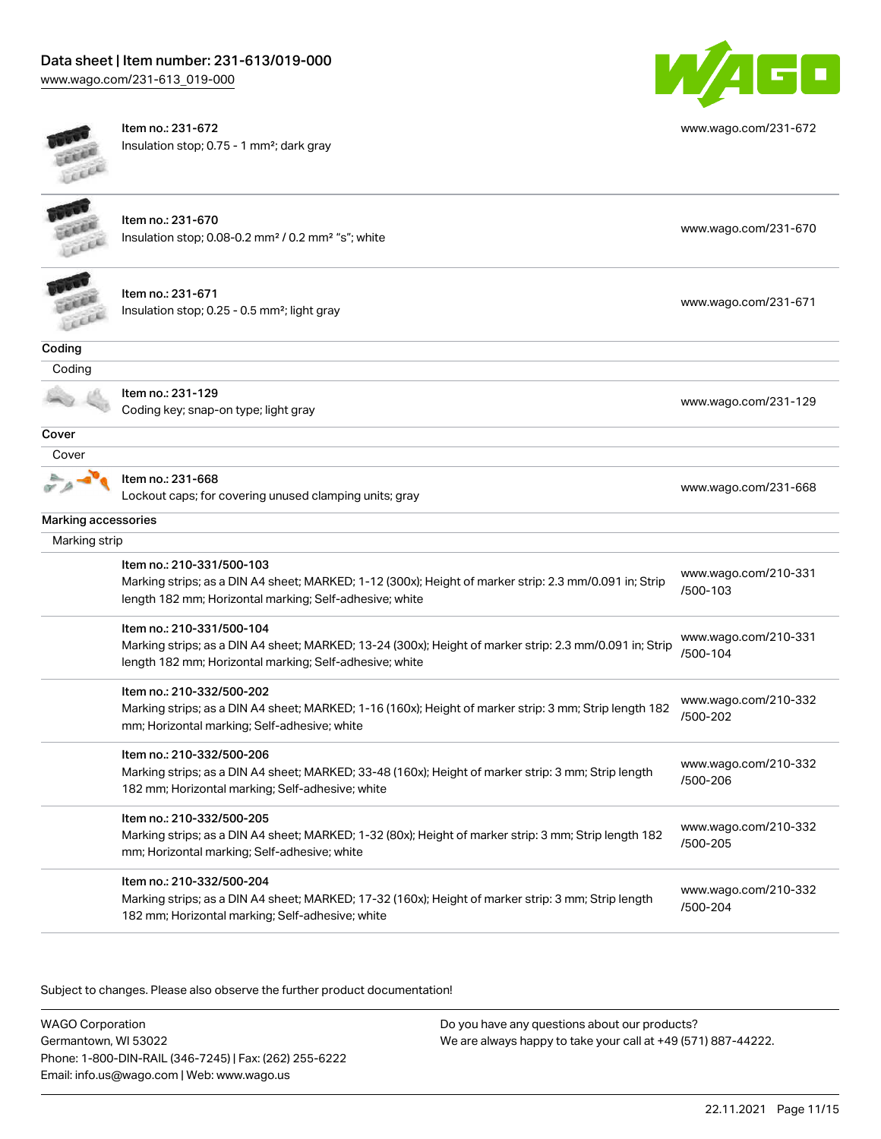## Data sheet | Item number: 231-613/019-000

[www.wago.com/231-613\\_019-000](http://www.wago.com/231-613_019-000)



Item no.: 231-672 Insulation stop; 0.75 - 1 mm²; dark gray



[www.wago.com/231-672](http://www.wago.com/231-672)

Item no.: 231-670 Insulation stop; 0.08-0.2 mm² / 0.2 mm² "s"; white [www.wago.com/231-670](http://www.wago.com/231-670) www.wago.com/231-670



Item no.: 231-671 Insulation stop; 0.25 - 0.5 mm²; light gray [www.wago.com/231-671](http://www.wago.com/231-671) www.wago.com/231-671

| ١r<br>ı |
|---------|
|---------|



Item no.: 231-129 noming...251-125<br>Coding key; snap-on type; light gray [www.wago.com/231-129](http://www.wago.com/231-129)

**Cover** 

Cover



Item no.: 231-668

Lockout caps; for covering unused clamping units; gray [www.wago.com/231-668](http://www.wago.com/231-668)

| Marking accessories<br>Marking strip |                                                                                                                                                                                                 |                                  |
|--------------------------------------|-------------------------------------------------------------------------------------------------------------------------------------------------------------------------------------------------|----------------------------------|
|                                      |                                                                                                                                                                                                 |                                  |
|                                      | Item no.: 210-331/500-104<br>Marking strips; as a DIN A4 sheet; MARKED; 13-24 (300x); Height of marker strip: 2.3 mm/0.091 in; Strip<br>length 182 mm; Horizontal marking; Self-adhesive; white | www.wago.com/210-331<br>/500-104 |
|                                      | Item no.: 210-332/500-202<br>Marking strips; as a DIN A4 sheet; MARKED; 1-16 (160x); Height of marker strip: 3 mm; Strip length 182<br>mm; Horizontal marking; Self-adhesive; white             | www.wago.com/210-332<br>/500-202 |
|                                      | Item no.: 210-332/500-206<br>Marking strips; as a DIN A4 sheet; MARKED; 33-48 (160x); Height of marker strip: 3 mm; Strip length<br>182 mm; Horizontal marking; Self-adhesive; white            | www.wago.com/210-332<br>/500-206 |
|                                      | Item no.: 210-332/500-205<br>Marking strips; as a DIN A4 sheet; MARKED; 1-32 (80x); Height of marker strip: 3 mm; Strip length 182<br>mm; Horizontal marking; Self-adhesive; white              | www.wago.com/210-332<br>/500-205 |
|                                      | Item no.: 210-332/500-204<br>Marking strips; as a DIN A4 sheet; MARKED; 17-32 (160x); Height of marker strip: 3 mm; Strip length<br>182 mm; Horizontal marking; Self-adhesive; white            | www.wago.com/210-332<br>/500-204 |

.<br>Subject to changes. Please also observe the further product documentation!

WAGO Corporation Germantown, WI 53022 Phone: 1-800-DIN-RAIL (346-7245) | Fax: (262) 255-6222 Email: info.us@wago.com | Web: www.wago.us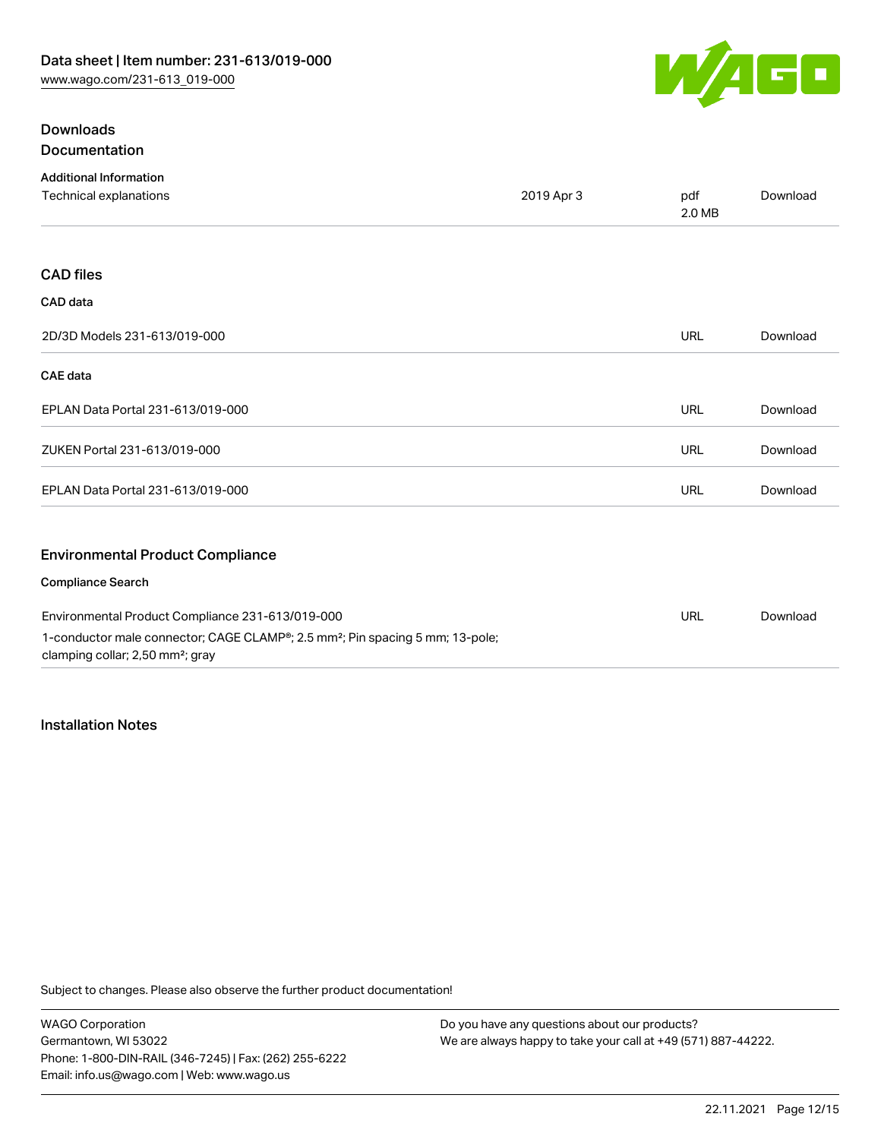

## **Downloads** Documentation

| <b>Additional Information</b>           |            |               |          |
|-----------------------------------------|------------|---------------|----------|
| Technical explanations                  | 2019 Apr 3 | pdf<br>2.0 MB | Download |
|                                         |            |               |          |
| <b>CAD files</b>                        |            |               |          |
| CAD data                                |            |               |          |
| 2D/3D Models 231-613/019-000            |            | <b>URL</b>    | Download |
| <b>CAE</b> data                         |            |               |          |
| EPLAN Data Portal 231-613/019-000       |            | <b>URL</b>    | Download |
| ZUKEN Portal 231-613/019-000            |            | <b>URL</b>    | Download |
| EPLAN Data Portal 231-613/019-000       |            | URL           | Download |
| <b>Environmental Product Compliance</b> |            |               |          |
| <b>Compliance Search</b>                |            |               |          |
|                                         |            |               |          |

| Environmental Product Compliance 231-613/019-000                                                       | URL | Download |
|--------------------------------------------------------------------------------------------------------|-----|----------|
| 1-conductor male connector; CAGE CLAMP <sup>®</sup> ; 2.5 mm <sup>2</sup> ; Pin spacing 5 mm; 13-pole; |     |          |
| clamping collar; 2,50 mm <sup>2</sup> ; gray                                                           |     |          |

#### Installation Notes

Subject to changes. Please also observe the further product documentation!

WAGO Corporation Germantown, WI 53022 Phone: 1-800-DIN-RAIL (346-7245) | Fax: (262) 255-6222 Email: info.us@wago.com | Web: www.wago.us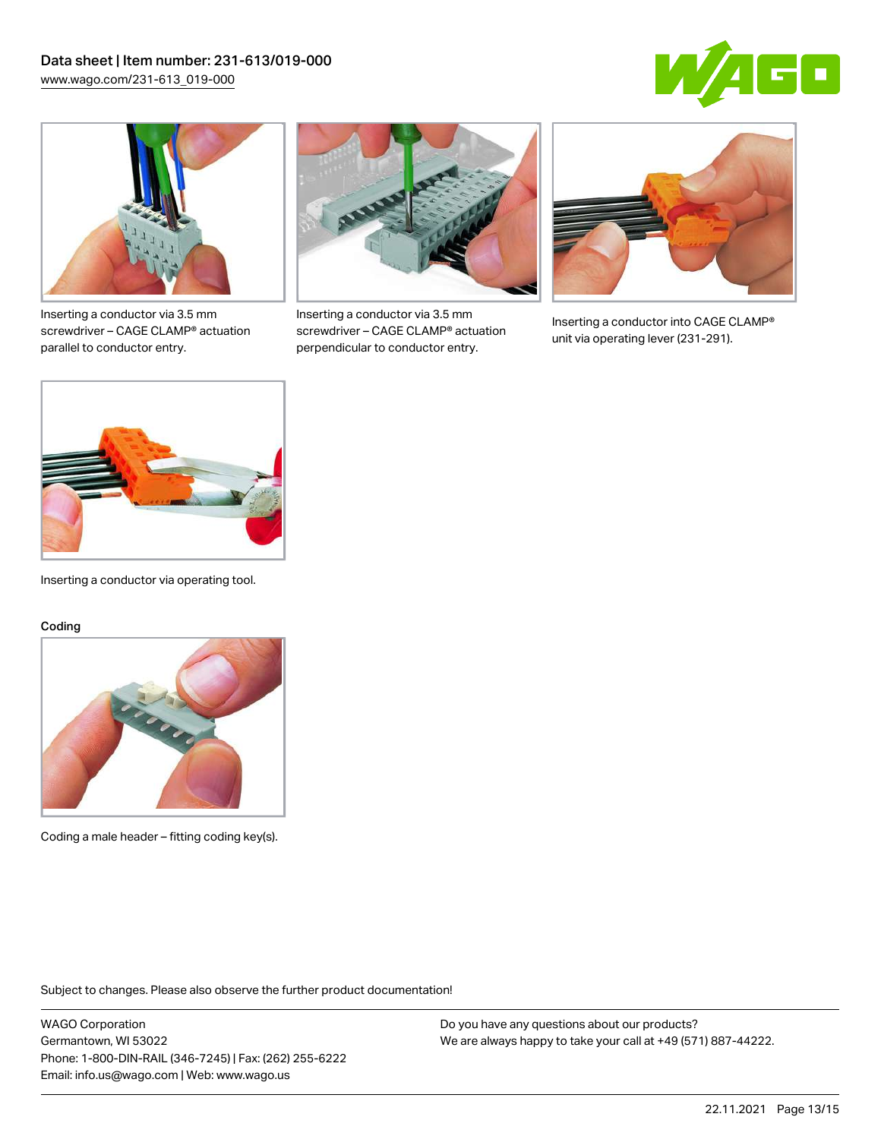



Inserting a conductor via 3.5 mm screwdriver – CAGE CLAMP® actuation parallel to conductor entry.



Inserting a conductor via 3.5 mm screwdriver – CAGE CLAMP® actuation perpendicular to conductor entry.



Inserting a conductor into CAGE CLAMP® unit via operating lever (231-291).



Inserting a conductor via operating tool.

#### Coding



Coding a male header – fitting coding key(s).

Subject to changes. Please also observe the further product documentation!

WAGO Corporation Germantown, WI 53022 Phone: 1-800-DIN-RAIL (346-7245) | Fax: (262) 255-6222 Email: info.us@wago.com | Web: www.wago.us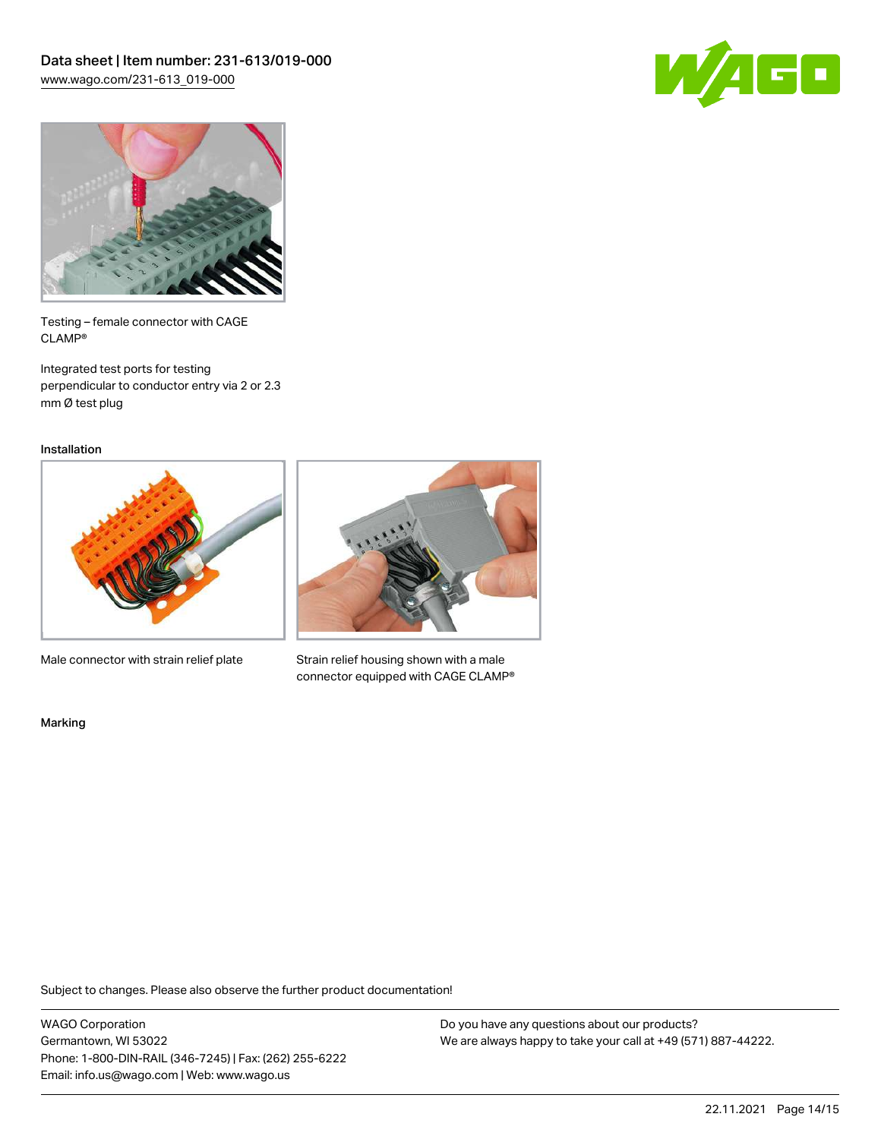



Testing – female connector with CAGE CLAMP®

Integrated test ports for testing perpendicular to conductor entry via 2 or 2.3 mm Ø test plug

Installation



Male connector with strain relief plate



Strain relief housing shown with a male connector equipped with CAGE CLAMP®

Marking

Subject to changes. Please also observe the further product documentation!

WAGO Corporation Germantown, WI 53022 Phone: 1-800-DIN-RAIL (346-7245) | Fax: (262) 255-6222 Email: info.us@wago.com | Web: www.wago.us